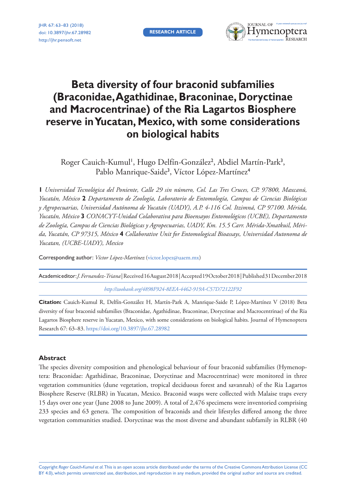**RESEARCH ARTICLE**

JHR 67: 63–83 (2018) [doi: 10.3897/jhr.67.28982](https://doi.org/10.3897/jhr.67.28982) <http://jhr.pensoft.net>



# **Beta diversity of four braconid subfamilies (Braconidae, Agathidinae, Braconinae, Doryctinae and Macrocentrinae) of the Ria Lagartos Biosphere reserve in Yucatan, Mexico, with some considerations on biological habits**

Roger Cauich-Kumul<sup>1</sup>, Hugo Delfín-González<sup>2</sup>, Abdiel Martín-Park<sup>3</sup>, Pablo Manrique-Saide<sup>3</sup> , Víctor López-Martínez<sup>4</sup>

**1** *Universidad Tecnológica del Poniente, Calle 29 sin número, Col. Las Tres Cruces, CP. 97800, Maxcanú, Yucatán, México* **2** *Departamento de Zoología, Laboratorio de Entomología, Campus de Ciencias Biológicas y Agropecuarias, Universidad Autónoma de Yucatán (UADY), A.P. 4-116 Col. Itzimná, CP 97100. Mérida, Yucatán, México* **3** *CONACYT-Unidad Colaborativa para Bioensayos Entomológicos (UCBE), Departamento de Zoología, Campus de Ciencias Biológicas y Agropecuarias, UADY, Km. 15.5 Carr. Mérida-Xmatkuil, Mérida, Yucatán, CP 97315, México* **4** *Collaborative Unit for Entomological Bioassays, Universidad Autonoma de Yucatan, (UCBE-UADY), Mexico*

Corresponding author: *Víctor López-Martínez* ([victor.lopez@uaem.mx](mailto:victor.lopez@uaem.mx))

Academic editor:*J. Fernandez-Triana* | Received 16 August 2018 | Accepted 19 October 2018 | Published 31 December 2018

*<http://zoobank.org/4898F924-8EEA-4462-919A-C57D72122F92>*

**Citation:** Cauich-Kumul R, Delfín-González H, Martín-Park A, Manrique-Saide P, López-Martínez V (2018) Beta diversity of four braconid subfamilies (Braconidae, Agathidinae, Braconinae, Doryctinae and Macrocentrinae) of the Ria Lagartos Biosphere reserve in Yucatan, Mexico, with some considerations on biological habits. Journal of Hymenoptera Research 67: 63–83. <https://doi.org/10.3897/jhr.67.28982>

# **Abstract**

The species diversity composition and phenological behaviour of four braconid subfamilies (Hymenoptera: Braconidae: Agathidinae, Braconinae, Doryctinae and Macrocentrinae) were monitored in three vegetation communities (dune vegetation, tropical deciduous forest and savannah) of the Ria Lagartos Biosphere Reserve (RLBR) in Yucatan, Mexico. Braconid wasps were collected with Malaise traps every 15 days over one year (June 2008 to June 2009). A total of 2,476 specimens were inventoried comprising 233 species and 63 genera. The composition of braconids and their lifestyles differed among the three vegetation communities studied. Doryctinae was the most diverse and abundant subfamily in RLBR (40

Copyright *Roger Cauich-Kumul et al.* This is an open access article distributed under the terms of the [Creative Commons Attribution License \(CC](http://creativecommons.org/licenses/by/4.0/)  [BY 4.0\)](http://creativecommons.org/licenses/by/4.0/), which permits unrestricted use, distribution, and reproduction in any medium, provided the original author and source are credited.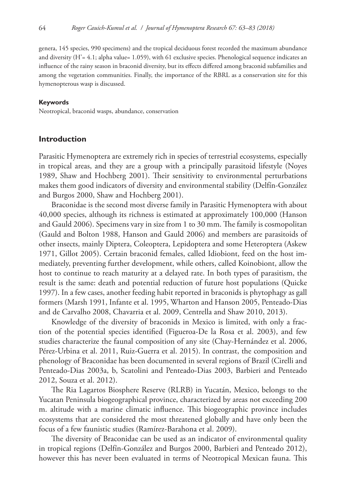genera, 145 species, 990 specimens) and the tropical deciduous forest recorded the maximum abundance and diversity (H'= 4.1; alpha value= 1.059), with 61 exclusive species. Phenological sequence indicates an influence of the rainy season in braconid diversity, but its effects differed among braconid subfamilies and among the vegetation communities. Finally, the importance of the RBRL as a conservation site for this hymenopterous wasp is discussed.

#### **Keywords**

Neotropical, braconid wasps, abundance, conservation

## **Introduction**

Parasitic Hymenoptera are extremely rich in species of terrestrial ecosystems, especially in tropical areas, and they are a group with a principally parasitoid lifestyle (Noyes 1989, Shaw and Hochberg 2001). Their sensitivity to environmental perturbations makes them good indicators of diversity and environmental stability (Delfín-González and Burgos 2000, Shaw and Hochberg 2001).

Braconidae is the second most diverse family in Parasitic Hymenoptera with about 40,000 species, although its richness is estimated at approximately 100,000 (Hanson and Gauld 2006). Specimens vary in size from 1 to 30 mm. The family is cosmopolitan (Gauld and Bolton 1988, Hanson and Gauld 2006) and members are parasitoids of other insects, mainly Diptera, Coleoptera, Lepidoptera and some Heteroptera (Askew 1971, Gillot 2005). Certain braconid females, called Idiobiont, feed on the host immediately, preventing further development, while others, called Koinobiont, allow the host to continue to reach maturity at a delayed rate. In both types of parasitism, the result is the same: death and potential reduction of future host populations (Quicke 1997). In a few cases, another feeding habit reported in braconids is phytophagy as gall formers (Marsh 1991, Infante et al. 1995, Wharton and Hanson 2005, Penteado-Dias and de Carvalho 2008, Chavarria et al. 2009, Centrella and Shaw 2010, 2013).

Knowledge of the diversity of braconids in Mexico is limited, with only a fraction of the potential species identified (Figueroa-De la Rosa et al. 2003), and few studies characterize the faunal composition of any site (Chay-Hernández et al. 2006, Pérez-Urbina et al. 2011, Ruiz-Guerra et al. 2015). In contrast, the composition and phenology of Braconidae has been documented in several regions of Brazil (Cirelli and Penteado-Dias 2003a, b, Scatolini and Penteado-Dias 2003, Barbieri and Penteado 2012, Souza et al. 2012).

The Ria Lagartos Biosphere Reserve (RLRB) in Yucatán, Mexico, belongs to the Yucatan Peninsula biogeographical province, characterized by areas not exceeding 200 m. altitude with a marine climatic influence. This biogeographic province includes ecosystems that are considered the most threatened globally and have only been the focus of a few faunistic studies (Ramírez-Barahona et al. 2009).

The diversity of Braconidae can be used as an indicator of environmental quality in tropical regions (Delfín-González and Burgos 2000, Barbieri and Penteado 2012), however this has never been evaluated in terms of Neotropical Mexican fauna. This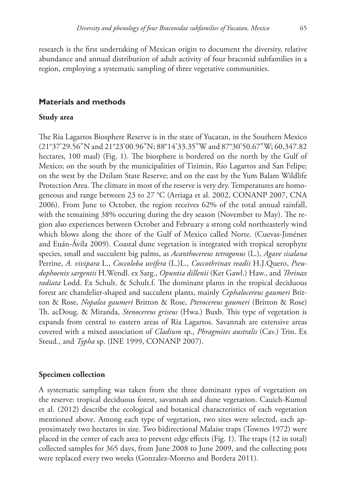research is the first undertaking of Mexican origin to document the diversity, relative abundance and annual distribution of adult activity of four braconid subfamilies in a region, employing a systematic sampling of three vegetative communities.

# **Materials and methods**

#### **Study area**

The Ria Lagartos Biosphere Reserve is in the state of Yucatan, in the Southern Mexico (21°37'29.56"N and 21°23'00.96"N; 88°14'33.35"W and 87°30'50.67"W; 60,347.82 hectares, 100 masl) (Fig. 1). The biosphere is bordered on the north by the Gulf of Mexico; on the south by the municipalities of Tizimin, Rio Lagartos and San Felipe; on the west by the Dzilam State Reserve; and on the east by the Yum Balam Wildlife Protection Area. The climate in most of the reserve is very dry. Temperatures are homogeneous and range between 23 to 27 °C (Arriaga et al. 2002, CONANP 2007, CNA 2006). From June to October, the region receives 62% of the total annual rainfall, with the remaining 38% occuring during the dry season (November to May). The region also experiences between October and February a strong cold northeasterly wind which blows along the shore of the Gulf of Mexico called Norte. (Cuevas-Jiménez and Euán-Ávila 2009). Coastal dune vegetation is integrated with tropical xerophyte species, small and succulent big palms, as *Acanthocereus tetragonus* (L.), *Agave sisalana* Perrine, *A. vivipara* L., *Coccoloba uvifera* (L.)L., *Coccothrinax readii* H.J.Quero, *Pseudophoenix sargentii* H.Wendl. ex Sarg., *Opuntia dillenii* (Ker Gawl.) Haw., and *Thrinax radiata* Lodd. Ex Schult. & Schult.f. The dominant plants in the tropical deciduous forest are chandelier-shaped and succulent plants, mainly *Cephalocereus gaumeri* Britton & Rose, *Nopalea gaumeri* Britton & Rose, *Pterocereus gaumeri* (Britton & Rose) Th. acDoug. & Miranda, *Stenocereus griseus* (Hwa.) Buxb. This type of vegetation is expands from central to eastern areas of Ria Lagartos. Savannah are extensive areas covered with a mixed association of *Cladium* sp., *Phragmites australis* (Cav.) Trin. Ex Steud., and *Typha* sp. (INE 1999, CONANP 2007).

# **Specimen collection**

A systematic sampling was taken from the three dominant types of vegetation on the reserve: tropical deciduous forest, savannah and dune vegetation. Cauich-Kumul et al. (2012) describe the ecological and botanical characteristics of each vegetation mentioned above. Among each type of vegetation, two sites were selected, each approximately two hectares in size. Two bidirectional Malaise traps (Townes 1972) were placed in the center of each area to prevent edge effects (Fig. 1). The traps (12 in total) collected samples for 365 days, from June 2008 to June 2009, and the collecting pots were replaced every two weeks (Gonzalez-Moreno and Bordera 2011).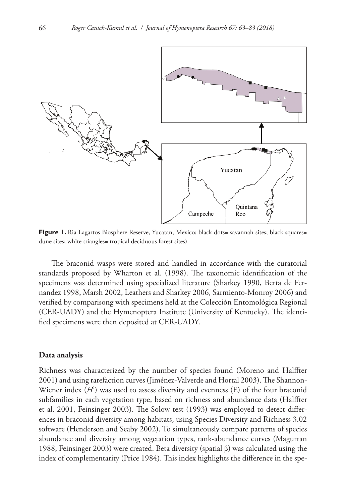

**Figure 1.** Ria Lagartos Biosphere Reserve, Yucatan, Mexico; black dots= savannah sites; black squares= dune sites; white triangles= tropical deciduous forest sites).

The braconid wasps were stored and handled in accordance with the curatorial standards proposed by Wharton et al. (1998). The taxonomic identification of the specimens was determined using specialized literature (Sharkey 1990, Berta de Fernandez 1998, Marsh 2002, Leathers and Sharkey 2006, Sarmiento-Monroy 2006) and verified by comparisong with specimens held at the Colección Entomológica Regional (CER-UADY) and the Hymenoptera Institute (University of Kentucky). The identified specimens were then deposited at CER-UADY.

## **Data analysis**

Richness was characterized by the number of species found (Moreno and Halffter 2001) and using rarefaction curves (Jiménez-Valverde and Hortal 2003). The Shannon-Wiener index (*H*') was used to assess diversity and evenness (E) of the four braconid subfamilies in each vegetation type, based on richness and abundance data (Halffter et al. 2001, Feinsinger 2003). The Solow test (1993) was employed to detect differences in braconid diversity among habitats, using Species Diversity and Richness 3.02 software (Henderson and Seaby 2002). To simultaneously compare patterns of species abundance and diversity among vegetation types, rank-abundance curves (Magurran 1988, Feinsinger 2003) were created. Beta diversity (spatial β) was calculated using the index of complementarity (Price 1984). This index highlights the difference in the spe-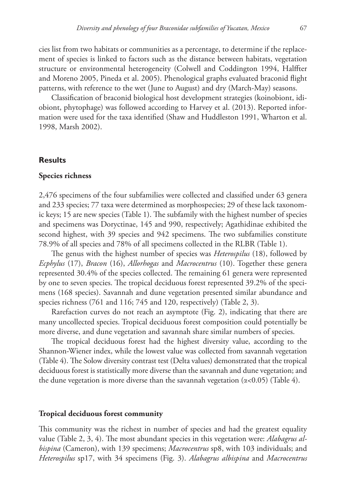cies list from two habitats or communities as a percentage, to determine if the replacement of species is linked to factors such as the distance between habitats, vegetation structure or environmental heterogeneity (Colwell and Coddington 1994, Halffter and Moreno 2005, Pineda et al. 2005). Phenological graphs evaluated braconid flight patterns, with reference to the wet (June to August) and dry (March-May) seasons.

Classification of braconid biological host development strategies (koinobiont, idiobiont, phytophage) was followed according to Harvey et al. (2013). Reported information were used for the taxa identified (Shaw and Huddleston 1991, Wharton et al. 1998, Marsh 2002).

# **Results**

#### **Species richness**

2,476 specimens of the four subfamilies were collected and classified under 63 genera and 233 species; 77 taxa were determined as morphospecies; 29 of these lack taxonomic keys; 15 are new species (Table 1). The subfamily with the highest number of species and specimens was Doryctinae, 145 and 990, respectively; Agathidinae exhibited the second highest, with 39 species and 942 specimens. The two subfamilies constitute 78.9% of all species and 78% of all specimens collected in the RLBR (Table 1).

The genus with the highest number of species was *Heterospilus* (18), followed by *Ecphylus* (17), *Bracon* (16), *Allorhogas* and *Macrocentrus* (10). Together these genera represented 30.4% of the species collected. The remaining 61 genera were represented by one to seven species. The tropical deciduous forest represented 39.2% of the specimens (168 species). Savannah and dune vegetation presented similar abundance and species richness (761 and 116; 745 and 120, respectively) (Table 2, 3).

Rarefaction curves do not reach an asymptote (Fig. 2), indicating that there are many uncollected species. Tropical deciduous forest composition could potentially be more diverse, and dune vegetation and savannah share similar numbers of species.

The tropical deciduous forest had the highest diversity value, according to the Shannon-Wiener index, while the lowest value was collected from savannah vegetation (Table 4). The Solow diversity contrast test (Delta values) demonstrated that the tropical deciduous forest is statistically more diverse than the savannah and dune vegetation; and the dune vegetation is more diverse than the savannah vegetation  $(\alpha < 0.05)$  (Table 4).

# **Tropical deciduous forest community**

This community was the richest in number of species and had the greatest equality value (Table 2, 3, 4). The most abundant species in this vegetation were: *Alabagrus albispina* (Cameron), with 139 specimens; *Macrocentrus* sp8, with 103 individuals; and *Heterospilus* sp17, with 34 specimens (Fig. 3). *Alabagrus albispina* and *Macrocentrus*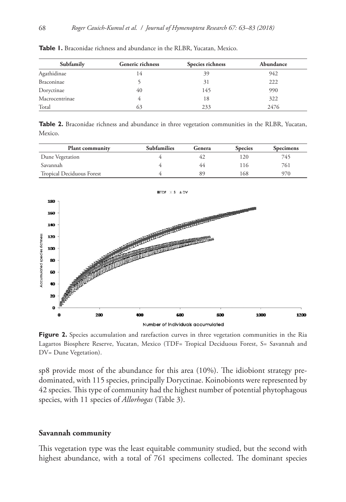| Subfamily      | <b>Generic richness</b> | Species richness | Abundance |
|----------------|-------------------------|------------------|-----------|
| Agathidinae    | 14                      | 39               | 942       |
| Braconinae     |                         | 31               | 222       |
| Doryctinae     | 40                      | 145              | 990       |
| Macrocentrinae |                         | 18               | 322       |
| Total          | 63                      | 233              | 2476      |

**Table 1.** Braconidae richness and abundance in the RLBR, Yucatan, Mexico.

**Table 2.** Braconidae richness and abundance in three vegetation communities in the RLBR, Yucatan, Mexico.

| <b>Plant community</b>    | <b>Subfamilies</b> | Genera | <b>Species</b> | <b>Specimens</b> |
|---------------------------|--------------------|--------|----------------|------------------|
| Dune Vegetation           |                    |        | 20             | 745              |
| Savannah                  |                    | 44     | 16             | 761              |
| Tropical Deciduous Forest |                    | 89     | 168            | 970              |



Figure 2. Species accumulation and rarefaction curves in three vegetation communities in the Ria Lagartos Biosphere Reserve, Yucatan, Mexico (TDF= Tropical Deciduous Forest, S= Savannah and DV= Dune Vegetation).

sp8 provide most of the abundance for this area (10%). The idiobiont strategy predominated, with 115 species, principally Doryctinae. Koinobionts were represented by 42 species. This type of community had the highest number of potential phytophagous species, with 11 species of *Allorhogas* (Table 3).

# **Savannah community**

This vegetation type was the least equitable community studied, but the second with highest abundance, with a total of 761 specimens collected. The dominant species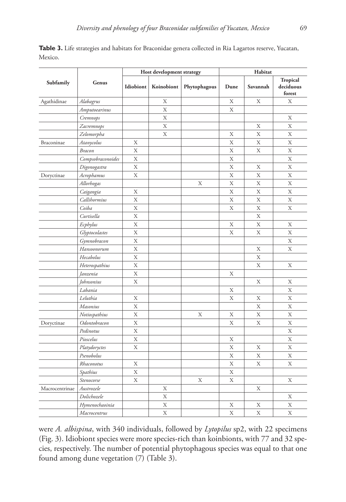| Table 3. Life strategies and habitats for Braconidae genera collected in Ria Lagartos reserve, Yucatan, |  |  |  |
|---------------------------------------------------------------------------------------------------------|--|--|--|
| Mexico.                                                                                                 |  |  |  |

|                | Genus             | Host development strategy |            |              | Habitat |          |                                        |
|----------------|-------------------|---------------------------|------------|--------------|---------|----------|----------------------------------------|
| Subfamily      |                   | Idiobiont                 | Koinobiont | Phytophagous | Dune    | Savannah | <b>Tropical</b><br>deciduous<br>forest |
| Agathidinae    | Alabagrus         |                           | Х          |              | X       | X        | X                                      |
|                | Amputoearinus     |                           | X          |              | X       |          |                                        |
|                | Cremnops          |                           | X          |              |         |          | X                                      |
|                | Zacremnops        |                           | X          |              |         | X        | X                                      |
|                | Zelomorpha        |                           | X          |              | Х       | X        | X                                      |
| Braconinae     | Atanycolus        | X                         |            |              | X       | X        | X                                      |
|                | Bracon            | X                         |            |              | X       | X        | X                                      |
|                | Compsobraconoides | X                         |            |              | X       |          | X                                      |
|                | Digonogastra      | X                         |            |              | X       | Х        | X                                      |
| Doryctinae     | Acrophamus        | X                         |            |              | X       | X        | X                                      |
|                | Allorhogas        |                           |            | X            | X       | X        | X                                      |
|                | Caigangia         | X                         |            |              | X       | X        | X                                      |
|                | Callihormius      | X                         |            |              | X       | X        | X                                      |
|                | Coiba             | X                         |            |              | X       | X        | X                                      |
|                | Curtisella        | X                         |            |              |         | X        |                                        |
|                | Ecphylus          | X                         |            |              | X       | X        | X                                      |
|                | Glyptocolastes    | X                         |            |              | X       | X        | X                                      |
|                | Gymnobracon       | X                         |            |              |         |          | X                                      |
|                | Hansoonorum       | X                         |            |              |         | X        | X                                      |
|                | Hecabolus         | X                         |            |              |         | X        |                                        |
|                | Heterospathius    | X                         |            |              |         | X        | Х                                      |
|                | Janzenia          | X                         |            |              | X       |          |                                        |
|                | Johnsonius        | X                         |            |              |         | X        | X                                      |
|                | Labania           |                           |            |              | X       |          | X                                      |
|                | Leluthia          | Х                         |            |              | X       | X        | X                                      |
|                | Masonius          | X                         |            |              |         | X        | X                                      |
|                | Notiospathius     | X                         |            | X            | X       | $\rm X$  | X                                      |
| Doryctinae     | Odontobracon      | X                         |            |              | X       | X        | X                                      |
|                | Pedinotus         | X                         |            |              |         |          | X                                      |
|                | Pioscelus         | X                         |            |              | X       |          | X                                      |
|                | Platydoryctes     | X                         |            |              | X       | X        | X                                      |
|                | Psenobolus        |                           |            |              | X       | X        | X                                      |
|                | Rhaconotus        | X                         |            |              | X       | X        | X                                      |
|                | Spathius          | X                         |            |              | X       |          |                                        |
|                | Stenocorse        | X                         |            | X            | X       |          | X                                      |
| Macrocentrinae | Austrozele        |                           | X          |              |         | X        |                                        |
|                | Dolichozele       |                           | X          |              |         |          | Х                                      |
|                | Hymenochaoinia    |                           | X          |              | X       | X        | X                                      |
|                | Macrocentrus      |                           | X          |              | X       | X        | X                                      |

were *A. albispina*, with 340 individuals, followed by *Lytopilus* sp2, with 22 specimens (Fig. 3). Idiobiont species were more species-rich than koinbionts, with 77 and 32 species, respectively. The number of potential phytophagous species was equal to that one found among dune vegetation (7) (Table 3).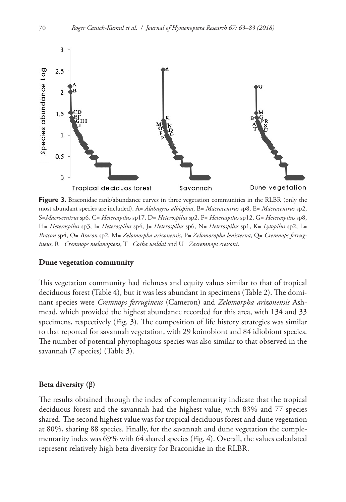

Figure 3. Braconidae rank/abundance curves in three vegetation communities in the RLBR (only the most abundant species are included). A= *Alabagrus albispina*, B= *Macrocentrus* sp8, E= *Macrocentrus* sp2, S=*Macrocentrus* sp6, C= *Heterospilus* sp17, D= *Heterospilus* sp2, F= *Heterospilus* sp12, G= *Heterospilus* sp8, H= *Heterospilus* sp3, I= *Heterospilus* sp4, J= *Heterospilus* sp6, N= *Heterospilus* sp1, K= *Lytopilus* sp2; L= *Bracon* sp4, O= *Bracon* sp2, M= *Zelomorpha arizonensis*, P= *Zelomoropha lenisterna*, Q= *Cremnops ferrugineus*, R*= Cremnops melanoptera*, T= *Coiba woldai* and U= *Zacremnops cressoni*.

# **Dune vegetation community**

This vegetation community had richness and equity values similar to that of tropical deciduous forest (Table 4), but it was less abundant in specimens (Table 2). The dominant species were *Cremnops ferrugineus* (Cameron) and *Zelomorpha arizonensis* Ashmead, which provided the highest abundance recorded for this area, with 134 and 33 specimens, respectively (Fig. 3). The composition of life history strategies was similar to that reported for savannah vegetation, with 29 koinobiont and 84 idiobiont species. The number of potential phytophagous species was also similar to that observed in the savannah (7 species) (Table 3).

#### **Beta diversity (β)**

The results obtained through the index of complementarity indicate that the tropical deciduous forest and the savannah had the highest value, with 83% and 77 species shared. The second highest value was for tropical deciduous forest and dune vegetation at 80%, sharing 88 species. Finally, for the savannah and dune vegetation the complementarity index was 69% with 64 shared species (Fig. 4). Overall, the values calculated represent relatively high beta diversity for Braconidae in the RLBR.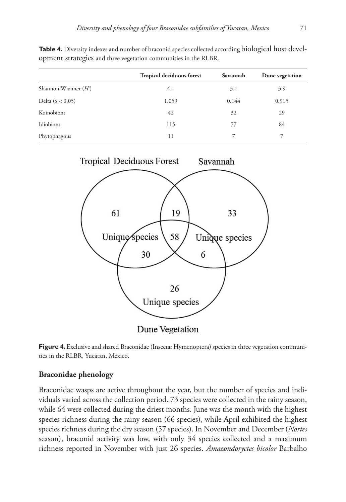**Table 4.** Diversity indexes and number of braconid species collected according biological host devel-

opment strategies and three vegetation communities in the RLBR.

|                          | Tropical deciduous forest | Savannah | Dune vegetation |
|--------------------------|---------------------------|----------|-----------------|
| Shannon-Wienner $(H)$    | 4.1                       | 3.1      | 3.9             |
| Delta ( $\alpha$ < 0.05) | 1.059                     | 0.144    | 0.915           |
| Koinobiont               | 42                        | 32       | 29              |
| Idiobiont                | 115                       | 77       | 84              |
| Phytophagous             | 11                        |          |                 |

**Tropical Deciduous Forest** Savannah 61 19 33 Unique species 58 Unique species 6 30

Dune Vegetation

Figure 4. Exclusive and shared Braconidae (Insecta: Hymenoptera) species in three vegetation communities in the RLBR, Yucatan, Mexico.

26

Unique species

# **Braconidae phenology**

Braconidae wasps are active throughout the year, but the number of species and individuals varied across the collection period. 73 species were collected in the rainy season, while 64 were collected during the driest months. June was the month with the highest species richness during the rainy season (66 species), while April exhibited the highest species richness during the dry season (57 species). In November and December (*Nortes* season), braconid activity was low, with only 34 species collected and a maximum richness reported in November with just 26 species. *Amazondoryctes bicolor* Barbalho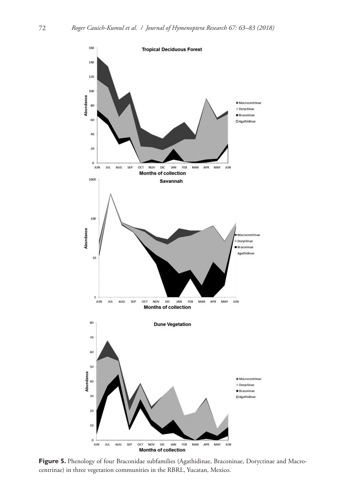

Figure 5. Phenology of four Braconidae subfamilies (Agathidinae, Braconinae, Doryctinae and Macrocentrinae) in three vegetation communities in the RBRL, Yucatan, Mexico.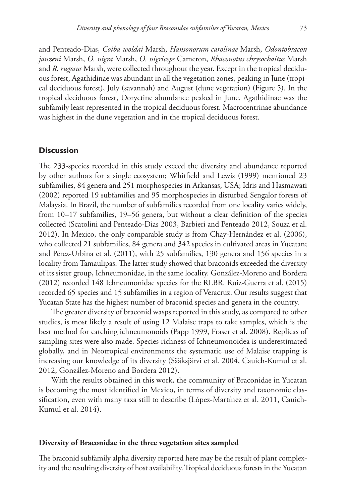and Penteado-Dias, *Coiba woldai* Marsh, *Hansonorum carolinae* Marsh, *Odontobracon janzeni* Marsh, *O. nigra* Marsh, *O. nigriceps* Cameron, *Rhaconotus chrysochaitus* Marsh and *R. rugosus* Marsh, were collected throughout the year. Except in the tropical deciduous forest, Agathidinae was abundant in all the vegetation zones, peaking in June (tropical deciduous forest), July (savannah) and August (dune vegetation) (Figure 5). In the tropical deciduous forest, Doryctine abundance peaked in June. Agathidinae was the subfamily least represented in the tropical deciduous forest. Macrocentrinae abundance was highest in the dune vegetation and in the tropical deciduous forest.

## **Discussion**

The 233-species recorded in this study exceed the diversity and abundance reported by other authors for a single ecosystem; Whitfield and Lewis (1999) mentioned 23 subfamilies, 84 genera and 251 morphospecies in Arkansas, USA; Idris and Hasmawati (2002) reported 19 subfamilies and 95 morphospecies in disturbed Sengalor forests of Malaysia. In Brazil, the number of subfamilies recorded from one locality varies widely, from 10–17 subfamilies, 19–56 genera, but without a clear definition of the species collected (Scatolini and Penteado-Dias 2003, Barbieri and Penteado 2012, Souza et al. 2012). In Mexico, the only comparable study is from Chay-Hernández et al. (2006), who collected 21 subfamilies, 84 genera and 342 species in cultivated areas in Yucatan; and Pérez-Urbina et al. (2011), with 25 subfamilies, 130 genera and 156 species in a locality from Tamaulipas. The latter study showed that braconids exceeded the diversity of its sister group, Ichneumonidae, in the same locality. González-Moreno and Bordera (2012) recorded 148 Ichneumonidae species for the RLBR. Ruiz-Guerra et al. (2015) recorded 65 species and 15 subfamilies in a region of Veracruz. Our results suggest that Yucatan State has the highest number of braconid species and genera in the country.

The greater diversity of braconid wasps reported in this study, as compared to other studies, is most likely a result of using 12 Malaise traps to take samples, which is the best method for catching ichneumonoids (Papp 1999, Fraser et al. 2008). Replicas of sampling sites were also made. Species richness of Ichneumonoidea is underestimated globally, and in Neotropical environments the systematic use of Malaise trapping is increasing our knowledge of its diversity (Sääksjärvi et al. 2004, Cauich-Kumul et al. 2012, González-Moreno and Bordera 2012).

With the results obtained in this work, the community of Braconidae in Yucatan is becoming the most identified in Mexico, in terms of diversity and taxonomic classification, even with many taxa still to describe (López-Martínez et al. 2011, Cauich-Kumul et al. 2014).

# **Diversity of Braconidae in the three vegetation sites sampled**

The braconid subfamily alpha diversity reported here may be the result of plant complexity and the resulting diversity of host availability. Tropical deciduous forests in the Yucatan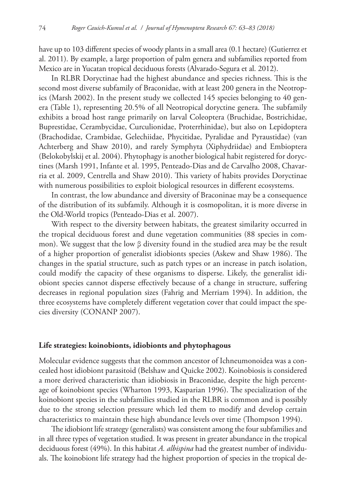have up to 103 different species of woody plants in a small area (0.1 hectare) (Gutierrez et al. 2011). By example, a large proportion of palm genera and subfamilies reported from Mexico are in Yucatan tropical deciduous forests (Alvarado-Segura et al. 2012).

In RLBR Doryctinae had the highest abundance and species richness. This is the second most diverse subfamily of Braconidae, with at least 200 genera in the Neotropics (Marsh 2002). In the present study we collected 145 species belonging to 40 genera (Table 1), representing 20.5% of all Neotropical doryctine genera. The subfamily exhibits a broad host range primarily on larval Coleoptera (Bruchidae, Bostrichidae, Buprestidae, Cerambycidae, Curculionidae, Proterrhinidae), but also on Lepidoptera (Brachodidae, Crambidae, Gelechiidae, Phycitidae, Pyralidae and Pyraustidae) (van Achterberg and Shaw 2010), and rarely Symphyta (Xiphydriidae) and Embioptera (Belokobylskij et al. 2004). Phytophagy is another biological habit registered for doryctines (Marsh 1991, Infante et al. 1995, Penteado-Dias and de Carvalho 2008, Chavarria et al. 2009, Centrella and Shaw 2010). This variety of habits provides Doryctinae with numerous possibilities to exploit biological resources in different ecosystems.

In contrast, the low abundance and diversity of Braconinae may be a consequence of the distribution of its subfamily. Although it is cosmopolitan, it is more diverse in the Old-World tropics (Penteado-Dias et al. 2007).

With respect to the diversity between habitats, the greatest similarity occurred in the tropical deciduous forest and dune vegetation communities (88 species in common). We suggest that the low β diversity found in the studied area may be the result of a higher proportion of generalist idiobionts species (Askew and Shaw 1986). The changes in the spatial structure, such as patch types or an increase in patch isolation, could modify the capacity of these organisms to disperse. Likely, the generalist idiobiont species cannot disperse effectively because of a change in structure, suffering decreases in regional population sizes (Fahrig and Merriam 1994). In addition, the three ecosystems have completely different vegetation cover that could impact the species diversity (CONANP 2007).

# **Life strategies: koinobionts, idiobionts and phytophagous**

Molecular evidence suggests that the common ancestor of Ichneumonoidea was a concealed host idiobiont parasitoid (Belshaw and Quicke 2002). Koinobiosis is considered a more derived characteristic than idiobiosis in Braconidae, despite the high percentage of koinobiont species (Wharton 1993, Kasparian 1996). The specialization of the koinobiont species in the subfamilies studied in the RLBR is common and is possibly due to the strong selection pressure which led them to modify and develop certain characteristics to maintain these high abundance levels over time (Thompson 1994).

The idiobiont life strategy (generalists) was consistent among the four subfamilies and in all three types of vegetation studied. It was present in greater abundance in the tropical deciduous forest (49%). In this habitat *A. albispina* had the greatest number of individuals. The koinobiont life strategy had the highest proportion of species in the tropical de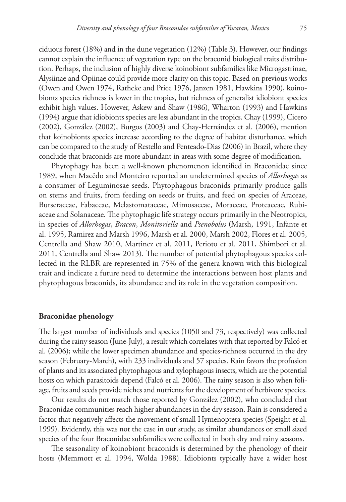ciduous forest (18%) and in the dune vegetation (12%) (Table 3). However, our findings cannot explain the influence of vegetation type on the braconid biological traits distribution. Perhaps, the inclusion of highly diverse koinobiont subfamilies like Microgastrinae, Alysiinae and Opiinae could provide more clarity on this topic. Based on previous works (Owen and Owen 1974, Rathcke and Price 1976, Janzen 1981, Hawkins 1990), koinobionts species richness is lower in the tropics, but richness of generalist idiobiont species exhibit high values. However, Askew and Shaw (1986), Wharton (1993) and Hawkins (1994) argue that idiobionts species are less abundant in the tropics. Chay (1999), Cicero (2002), González (2002), Burgos (2003) and Chay-Hernández et al. (2006), mention that koinobionts species increase according to the degree of habitat disturbance, which can be compared to the study of Restello and Penteado-Dias (2006) in Brazil, where they conclude that braconids are more abundant in areas with some degree of modification.

Phytophagy has been a well-known phenomenon identified in Braconidae since 1989, when Macêdo and Monteiro reported an undetermined species of *Allorhogas* as a consumer of Leguminosae seeds. Phytophagous braconids primarily produce galls on stems and fruits, from feeding on seeds or fruits, and feed on species of Araceae, Burseraceae, Fabaceae, Melastomataceae, Mimosaceae, Moraceae, Proteaceae, Rubiaceae and Solanaceae. The phytophagic life strategy occurs primarily in the Neotropics, in species of *Allorhogas*, *Bracon*, *Monitoriella* and *Psenobolus* (Marsh, 1991, Infante et al. 1995, Ramirez and Marsh 1996, Marsh et al. 2000, Marsh 2002, Flores et al. 2005, Centrella and Shaw 2010, Martinez et al. 2011, Perioto et al. 2011, Shimbori et al. 2011, Centrella and Shaw 2013). The number of potential phytophagous species collected in the RLBR are represented in 75% of the genera known with this biological trait and indicate a future need to determine the interactions between host plants and phytophagous braconids, its abundance and its role in the vegetation composition.

#### **Braconidae phenology**

The largest number of individuals and species (1050 and 73, respectively) was collected during the rainy season (June-July), a result which correlates with that reported by Falcó et al. (2006); while the lower specimen abundance and species-richness occurred in the dry season (February-March), with 233 individuals and 57 species. Rain favors the profusion of plants and its associated phytophagous and xylophagous insects, which are the potential hosts on which parasitoids depend (Falcó et al. 2006). The rainy season is also when foliage, fruits and seeds provide niches and nutrients for the development of herbivore species.

Our results do not match those reported by González (2002), who concluded that Braconidae communities reach higher abundances in the dry season. Rain is considered a factor that negatively affects the movement of small Hymenoptera species (Speight et al. 1999). Evidently, this was not the case in our study, as similar abundances or small sized species of the four Braconidae subfamilies were collected in both dry and rainy seasons.

The seasonality of koinobiont braconids is determined by the phenology of their hosts (Memmott et al. 1994, Wolda 1988). Idiobionts typically have a wider host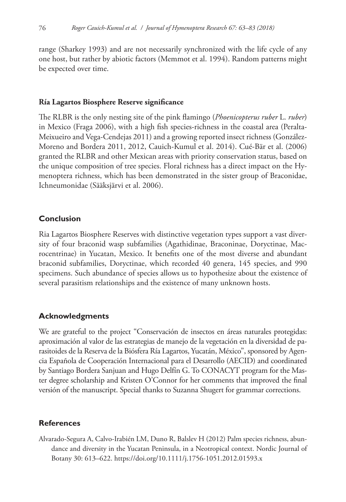range (Sharkey 1993) and are not necessarily synchronized with the life cycle of any one host, but rather by abiotic factors (Memmot et al. 1994). Random patterns might be expected over time.

# **Ría Lagartos Biosphere Reserve significance**

The RLBR is the only nesting site of the pink flamingo (*Phoenicopterus ruber* L. *ruber*) in Mexico (Fraga 2006), with a high fish species-richness in the coastal area (Peralta-Meixueiro and Vega-Cendejas 2011) and a growing reported insect richness (González-Moreno and Bordera 2011, 2012, Cauich-Kumul et al. 2014). Cué-Bär et al. (2006) granted the RLBR and other Mexican areas with priority conservation status, based on the unique composition of tree species. Floral richness has a direct impact on the Hymenoptera richness, which has been demonstrated in the sister group of Braconidae, Ichneumonidae (Sääksjärvi et al. 2006).

# **Conclusion**

Ria Lagartos Biosphere Reserves with distinctive vegetation types support a vast diversity of four braconid wasp subfamilies (Agathidinae, Braconinae, Doryctinae, Macrocentrinae) in Yucatan, Mexico. It benefits one of the most diverse and abundant braconid subfamilies, Doryctinae, which recorded 40 genera, 145 species, and 990 specimens. Such abundance of species allows us to hypothesize about the existence of several parasitism relationships and the existence of many unknown hosts.

# **Acknowledgments**

We are grateful to the project "Conservación de insectos en áreas naturales protegidas: aproximación al valor de las estrategias de manejo de la vegetación en la diversidad de parasitoides de la Reserva de la Biósfera Ría Lagartos, Yucatán, México", sponsored by Agencia Española de Cooperación Internacional para el Desarrollo (AECID) and coordinated by Santiago Bordera Sanjuan and Hugo Delfín G. To CONACYT program for the Master degree scholarship and Kristen O'Connor for her comments that improved the final versión of the manuscript. Special thanks to Suzanna Shugert for grammar corrections.

# **References**

Alvarado-Segura A, Calvo-Irabién LM, Duno R, Balslev H (2012) Palm species richness, abundance and diversity in the Yucatan Peninsula, in a Neotropical context. Nordic Journal of Botany 30: 613–622. <https://doi.org/10.1111/j.1756-1051.2012.01593.x>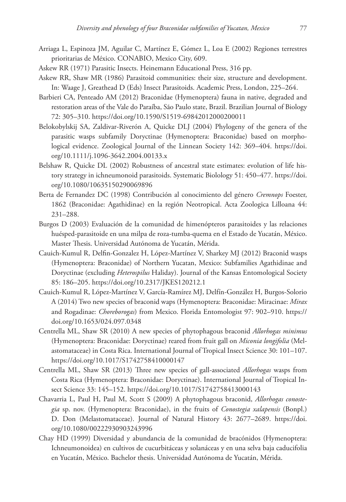- Arriaga L, Espinoza JM, Aguilar C, Martínez E, Gómez L, Loa E (2002) Regiones terrestres prioritarias de México. CONABIO, Mexico City, 609.
- Askew RR (1971) Parasitic Insects. Heinemann Educational Press, 316 pp.
- Askew RR, Shaw MR (1986) Parasitoid communities: their size, structure and development. In: Waage J, Greathead D (Eds) Insect Parasitoids. Academic Press, London, 225–264.
- Barbieri CA, Penteado AM (2012) Braconidae (Hymenoptera) fauna in native, degraded and restoration areas of the Vale do Paraíba, São Paulo state, Brazil. Brazilian Journal of Biology 72: 305–310.<https://doi.org/10.1590/S1519-69842012000200011>
- Belokobylskij SA, Zaldivar-Riverón A, Quicke DLJ (2004) Phylogeny of the genera of the parasitic wasps subfamily Doryctinae (Hymenoptera: Braconidae) based on morphological evidence. Zoological Journal of the Linnean Society 142: 369–404. [https://doi.](https://doi.org/10.1111/j.1096-3642.2004.00133.x) [org/10.1111/j.1096-3642.2004.00133.x](https://doi.org/10.1111/j.1096-3642.2004.00133.x)
- Belshaw R, Quicke DL (2002) Robustness of ancestral state estimates: evolution of life history strategy in ichneumonoid parasitoids. Systematic Biolology 51: 450–477. [https://doi.](https://doi.org/10.1080/10635150290069896) [org/10.1080/10635150290069896](https://doi.org/10.1080/10635150290069896)
- Berta de Fernandez DC (1998) Contribución al conocimiento del género *Cremnops* Foester, 1862 (Braconidae: Agathidinae) en la región Neotropical. Acta Zoologica Lilloana 44: 231–288.
- Burgos D (2003) Evaluación de la comunidad de himenópteros parasitoides y las relaciones huésped-parasitoide en una milpa de roza-tumba-quema en el Estado de Yucatán, México. Master Thesis. Universidad Autónoma de Yucatán, Mérida.
- Cauich-Kumul R, Delfin-Gonzalez H, López-Martínez V, Sharkey MJ (2012) Braconid wasps (Hymenoptera: Braconidae) of Northern Yucatan, Mexico: Subfamilies Agathidinae and Doryctinae (excluding *Heterospilus* Haliday). Journal of the Kansas Entomological Society 85: 186–205.<https://doi.org/10.2317/JKES120212.1>
- Cauich-Kumul R, López-Martínez V, García-Ramírez MJ, Delfín-González H, Burgos-Solorio A (2014) Two new species of braconid waps (Hymenoptera: Braconidae: Miracinae: *Mirax* and Rogadinae: *Choreborogas*) from Mexico. Florida Entomologist 97: 902–910. [https://](https://doi.org/10.1653/024.097.0348) [doi.org/10.1653/024.097.0348](https://doi.org/10.1653/024.097.0348)
- Centrella ML, Shaw SR (2010) A new species of phytophagous braconid *Allorhogas minimus* (Hymenoptera: Braconidae: Doryctinae) reared from fruit gall on *Miconia longifolia* (Melastomataceae) in Costa Rica. International Journal of Tropical Insect Science 30: 101–107. <https://doi.org/10.1017/S1742758410000147>
- Centrella ML, Shaw SR (2013) Three new species of gall-associated *Allorhogas* wasps from Costa Rica (Hymenoptera: Braconidae: Doryctinae). International Journal of Tropical Insect Science 33: 145–152.<https://doi.org/10.1017/S1742758413000143>
- Chavarria L, Paul H, Paul M, Scott S (2009) A phytophagous braconid, *Allorhogas conostegia* sp. nov. (Hymenoptera: Braconidae), in the fruits of *Conostegia xalapensis* (Bonpl.) D. Don (Melastomataceae). Journal of Natural History 43: 2677–2689. [https://doi.](https://doi.org/10.1080/00222930903243996) [org/10.1080/00222930903243996](https://doi.org/10.1080/00222930903243996)
- Chay HD (1999) Diversidad y abundancia de la comunidad de bracónidos (Hymenoptera: Ichneumonoidea) en cultivos de cucurbitáceas y solanáceas y en una selva baja caducifolia en Yucatán, México. Bachelor thesis. Universidad Autónoma de Yucatán, Mérida.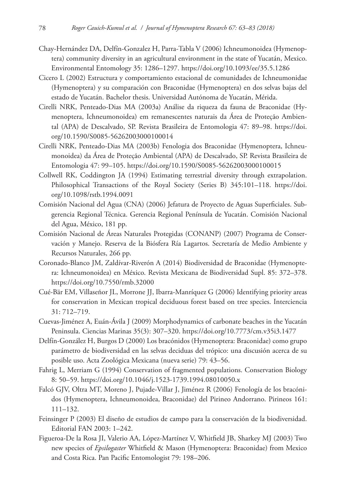- Chay-Hernández DA, Delfín-Gonzalez H, Parra-Tabla V (2006) Ichneumonoidea (Hymenoptera) community diversity in an agricultural environment in the state of Yucatán, Mexico. Environmental Entomology 35: 1286–1297.<https://doi.org/10.1093/ee/35.5.1286>
- Cicero L (2002) Estructura y comportamiento estacional de comunidades de Ichneumonidae (Hymenoptera) y su comparación con Braconidae (Hymenoptera) en dos selvas bajas del estado de Yucatán. Bachelor thesis. Universidad Autónoma de Yucatán, Mérida.
- Cirelli NRK, Penteado-Dias MA (2003a) Análise da riqueza da fauna de Braconidae (Hymenoptera, Ichneumonoidea) em remanescentes naturais da Área de Proteção Ambiental (APA) de Descalvado, SP. Revista Brasileira de Entomologia 47: 89–98. [https://doi.](https://doi.org/10.1590/S0085-56262003000100014) [org/10.1590/S0085-56262003000100014](https://doi.org/10.1590/S0085-56262003000100014)
- Cirelli NRK, Penteado-Dias MA (2003b) Fenologia dos Braconidae (Hymenoptera, Ichneumonoidea) da Área de Proteção Ambiental (APA) de Descalvado, SP. Revista Brasileira de Entomologia 47: 99–105.<https://doi.org/10.1590/S0085-56262003000100015>
- Collwell RK, Coddington JA (1994) Estimating terrestrial diversity through extrapolation. Philosophical Transactions of the Royal Society (Series B) 345:101–118. [https://doi.](https://doi.org/10.1098/rstb.1994.0091) [org/10.1098/rstb.1994.0091](https://doi.org/10.1098/rstb.1994.0091)
- Comisión Nacional del Agua (CNA) (2006) Jefatura de Proyecto de Aguas Superficiales. Subgerencia Regional Técnica. Gerencia Regional Península de Yucatán. Comisión Nacional del Agua, México, 181 pp.
- Comisión Nacional de Áreas Naturales Protegidas (CONANP) (2007) Programa de Conservación y Manejo. Reserva de la Biósfera Ría Lagartos. Secretaría de Medio Ambiente y Recursos Naturales, 266 pp.
- Coronado-Blanco JM, Zaldívar-Riverón A (2014) Biodiversidad de Braconidae (Hymenoptera: Ichneumonoidea) en México. Revista Mexicana de Biodiversidad Supl. 85: 372–378. <https://doi.org/10.7550/rmb.32000>
- Cué-Bär EM, Villaseñor JL, Morrone JJ, Ibarra-Manríquez G (2006) Identifying priority areas for conservation in Mexican tropical deciduous forest based on tree species. Interciencia 31: 712–719.
- Cuevas-Jiménez A, Euán-Ávila J (2009) Morphodynamics of carbonate beaches in the Yucatán Peninsula. Ciencias Marinas 35(3): 307–320. <https://doi.org/10.7773/cm.v35i3.1477>
- Delfín-González H, Burgos D (2000) Los bracónidos (Hymenoptera: Braconidae) como grupo parámetro de biodiversidad en las selvas deciduas del trópico: una discusión acerca de su posible uso. Acta Zoológica Mexicana (nueva serie) 79: 43–56.
- Fahrig L, Merriam G (1994) Conservation of fragmented populations. Conservation Biology 8: 50–59.<https://doi.org/10.1046/j.1523-1739.1994.08010050.x>
- Falcó GJV, Oltra MT, Moreno J, Pujade-Villar J, Jiménez R (2006) Fenología de los bracónidos (Hymenoptera, Ichneumonoidea, Braconidae) del Pirineo Andorrano. Pirineos 161: 111–132.
- Feinsinger P (2003) El diseño de estudios de campo para la conservación de la biodiversidad. Editorial FAN 2003: 1–242.
- Figueroa-De la Rosa JI, Valerio AA, López-Martínez V, Whitfield JB, Sharkey MJ (2003) Two new species of *Epsilogaster* Whitfield & Mason (Hymenoptera: Braconidae) from Mexico and Costa Rica. Pan Pacific Entomologist 79: 198–206.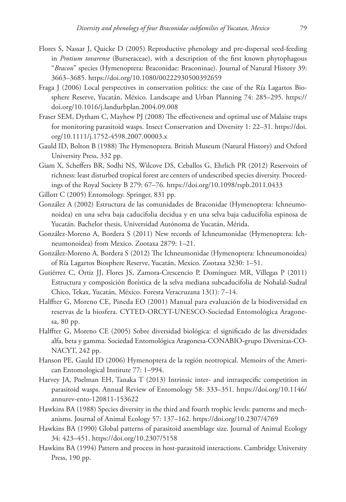- Flores S, Nassar J, Quicke D (2005) Reproductive phenology and pre-dispersal seed-feeding in *Protium tovarense* (Burseraceae), with a description of the first known phytophagous "*Bracon*" species (Hymenoptera: Braconidae: Braconinae). Journal of Natural History 39: 3663–3685.<https://doi.org/10.1080/00222930500392659>
- Fraga J (2006) Local perspectives in conservation politics: the case of the Ría Lagartos Biosphere Reserve, Yucatán, México. Landscape and Urban Planning 74: 285–295. [https://](https://doi.org/10.1016/j.landurbplan.2004.09.008) [doi.org/10.1016/j.landurbplan.2004.09.008](https://doi.org/10.1016/j.landurbplan.2004.09.008)
- Fraser SEM, Dytham C, Mayhew PJ (2008) The effectiveness and optimal use of Malaise traps for monitoring parasitoid wasps. Insect Conservation and Diversity 1: 22–31. [https://doi.](https://doi.org/10.1111/j.1752-4598.2007.00003.x) [org/10.1111/j.1752-4598.2007.00003.x](https://doi.org/10.1111/j.1752-4598.2007.00003.x)
- Gauld ID, Bolton B (1988) The Hymenoptera. British Museum (Natural History) and Oxford University Press, 332 pp.
- Giam X, Scheffers BR, Sodhi NS, Wilcove DS, Ceballos G, Ehrlich PR (2012) Reservoirs of richness: least disturbed tropical forest are centers of undescribed species diversity. Proceedings of the Royal Society B 279: 67–76. <https://doi.org/10.1098/rspb.2011.0433>
- Gillott C (2005) Entomology. Springer, 831 pp.
- González A (2002) Estructura de las comunidades de Braconidae (Hymenoptera: Ichneumonoidea) en una selva baja caducifolia decidua y en una selva baja caducifolia espinosa de Yucatán. Bachelor thesis, Universidad Autónoma de Yucatán, Mérida.
- González-Moreno A, Bordera S (2011) New records of Ichneumonidae (Hymenoptera: Ichneumonoidea) from Mexico. Zootaxa 2879: 1–21.
- González-Moreno A, Bordera S (2012) The Ichneumonidae (Hymenoptera: Ichneumonoidea) of Ría Lagartos Biosphere Reserve, Yucatán, Mexico. Zootaxa 3230: 1–51.
- Gutiérrez C, Ortiz JJ, Flores JS, Zamora-Crescencio P, Domínguez MR, Villegas P (2011) Estructura y composición florística de la selva mediana subcaducifolia de Nohalal-Sudzal Chico, Tekax, Yucatán, México. Foresta Veracruzana 13(1): 7–14.
- Halffter G, Moreno CE, Pineda EO (2001) Manual para evaluación de la biodiversidad en reservas de la biosfera. CYTED-ORCYT-UNESCO-Sociedad Entomológica Aragonesa, 80 pp.
- Halffter G, Moreno CE (2005) Sobre diversidad biológica: el significado de las diversidades alfa, beta y gamma. Sociedad Entomológica Aragonesa-CONABIO-grupo Diversitas-CO-NACYT, 242 pp.
- Hanson PE, Gauld ID (2006) Hymenoptera de la región neotropical. Memoirs of the American Entomological Institute 77: 1–994.
- Harvey JA, Poelman EH, Tanaka T (2013) Intrinsic inter- and intraspecific competition in parasitoid wasps. Annual Review of Entomology 58: 333–351. [https://doi.org/10.1146/](https://doi.org/10.1146/annurev-ento-120811-153622) [annurev-ento-120811-153622](https://doi.org/10.1146/annurev-ento-120811-153622)
- Hawkins BA (1988) Species diversity in the third and fourth trophic levels: patterns and mechanisms. Journal of Animal Ecology 57: 137–162. <https://doi.org/10.2307/4769>
- Hawkins BA (1990) Global patterns of parasitoid assemblage size. Journal of Animal Ecology 34: 423–451.<https://doi.org/10.2307/5158>
- Hawkins BA (1994) Pattern and process in host-parasitoid interactions. Cambridge University Press, 190 pp.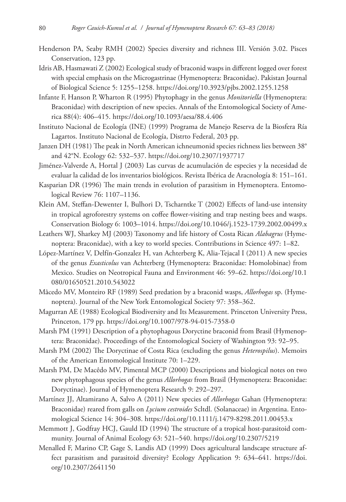- Henderson PA, Seaby RMH (2002) Species diversity and richness III. Versión 3.02. Pisces Conservation, 123 pp.
- Idris AB, Hasmawati Z (2002) Ecological study of braconid wasps in different logged over forest with special emphasis on the Microgastrinae (Hymenoptera: Braconidae). Pakistan Journal of Biological Science 5: 1255–1258. <https://doi.org/10.3923/pjbs.2002.1255.1258>
- Infante F, Hanson P, Wharton R (1995) Phytophagy in the genus *Monitoriella* (Hymenoptera: Braconidae) with description of new species. Annals of the Entomological Society of America 88(4): 406–415.<https://doi.org/10.1093/aesa/88.4.406>
- Instituto Nacional de Ecología (INE) (1999) Programa de Manejo Reserva de la Biosfera Ría Lagartos. Instituto Nacional de Ecología, Distrto Federal, 203 pp.
- Janzen DH (1981) The peak in North American ichneumonid species richness lies between 38° and 42°N. Ecology 62: 532–537.<https://doi.org/10.2307/1937717>
- Jiménez-Valverde A, Hortal J (2003) Las curvas de acumulación de especies y la necesidad de evaluar la calidad de los inventarios biológicos. Revista Ibérica de Aracnología 8: 151–161.
- Kasparian DR (1996) The main trends in evolution of parasitism in Hymenoptera. Entomological Review 76: 1107–1136.
- Klein AM, Steffan-Dewenter I, Bulhori D, Tscharntke T (2002) Effects of land-use intensity in tropical agroforestry systems on coffee flower-visiting and trap nesting bees and wasps. Conservation Biology 6: 1003–1014.<https://doi.org/10.1046/j.1523-1739.2002.00499.x>
- Leathers WJ, Sharkey MJ (2003) Taxonomy and life history of Costa Rican *Alabagrus* (Hymenoptera: Braconidae), with a key to world species. Contributions in Science 497: 1–82.
- López-Martínez V, Delfín-Gonzalez H, van Achterberg K, Alia-Tejacal I (2011) A new species of the genus *Exasticolus* van Achterberg (Hymenoptera: Braconidae: Homolobinae) from Mexico. Studies on Neotropical Fauna and Environment 46: 59–62. [https://doi.org/10.1](https://doi.org/10.1080/01650521.2010.543022) [080/01650521.2010.543022](https://doi.org/10.1080/01650521.2010.543022)
- Mâcedo MV, Monteiro RF (1989) Seed predation by a braconid wasps, *Allorhogas* sp. (Hymenoptera). Journal of the New York Entomological Society 97: 358–362.
- Magurran AE (1988) Ecological Biodiversity and Its Measurement. Princeton University Press, Princeton, 179 pp.<https://doi.org/10.1007/978-94-015-7358-0>
- Marsh PM (1991) Description of a phytophagous Doryctine braconid from Brasil (Hymenoptera: Braconidae). Proceedings of the Entomological Society of Washington 93: 92–95.
- Marsh PM (2002) The Doryctinae of Costa Rica (excluding the genus *Heterospilus*). Memoirs of the American Entomological Institute 70: 1–229.
- Marsh PM, De Macêdo MV, Pimental MCP (2000) Descriptions and biological notes on two new phytophagous species of the genus *Allorhogas* from Brasil (Hymenoptera: Braconidae: Doryctinae). Journal of Hymenoptera Research 9: 292–297.
- Martínez JJ, Altamirano A, Salvo A (2011) New species of *Allorhogas* Gahan (Hymenoptera: Braconidae) reared from galls on *Lycium cestroides* Scltdl. (Solanaceae) in Argentina. Entomological Science 14: 304–308. <https://doi.org/10.1111/j.1479-8298.2011.00453.x>
- Memmott J, Godfray HCJ, Gauld ID (1994) The structure of a tropical host-parasitoid community. Journal of Animal Ecology 63: 521–540.<https://doi.org/10.2307/5219>
- Menalled F, Marino CP, Gage S, Landis AD (1999) Does agricultural landscape structure affect parasitism and parasitoid diversity? Ecology Application 9: 634–641. [https://doi.](https://doi.org/10.2307/2641150) [org/10.2307/2641150](https://doi.org/10.2307/2641150)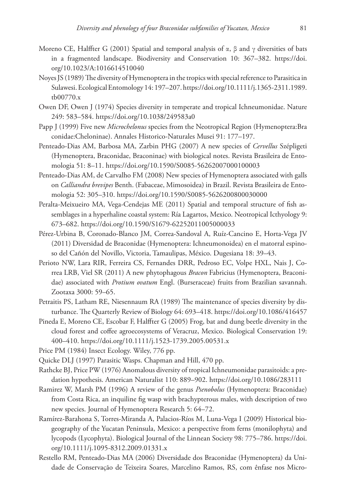- Moreno CE, Halffter G (2001) Spatial and temporal analysis of  $\alpha$ ,  $\beta$  and  $\gamma$  diversities of bats in a fragmented landscape. Biodiversity and Conservation 10: 367–382. [https://doi.](https://doi.org/10.1023/A:1016614510040) [org/10.1023/A:1016614510040](https://doi.org/10.1023/A:1016614510040)
- Noyes JS (1989) The diversity of Hymenoptera in the tropics with special reference to Parasitica in Sulawesi. Ecological Entomology 14: 197–207. [https://doi.org/10.1111/j.1365-2311.1989.](https://doi.org/10.1111/j.1365-2311.1989.tb00770.x) [tb00770.x](https://doi.org/10.1111/j.1365-2311.1989.tb00770.x)
- Owen DF, Owen J (1974) Species diversity in temperate and tropical Ichneumonidae. Nature 249: 583–584.<https://doi.org/10.1038/249583a0>
- Papp J (1999) Five new *Microchelonus* species from the Neotropical Region (Hymenoptera:Bra conidae:Cheloninae). Annales Historico-Naturales Musei 91: 177–197.
- Penteado-Dias AM, Barbosa MA, Zarbin PHG (2007) A new species of *Cervellus* Szépligeti (Hymenoptera, Braconidae, Braconinae) with biological notes. Revista Brasileira de Entomologia 51: 8–11.<https://doi.org/10.1590/S0085-56262007000100003>
- Penteado-Dias AM, de Carvalho FM (2008) New species of Hymenoptera associated with galls on *Calliandra brevipes* Benth. (Fabaceae, Mimosoidea) in Brazil. Revista Brasileira de Entomologia 52: 305–310.<https://doi.org/10.1590/S0085-5626200800030000>
- Peralta-Meixueiro MA, Vega-Cendejas ME (2011) Spatial and temporal structure of fish assemblages in a hyperhaline coastal system: Ría Lagartos, Mexico. Neotropical Icthyology 9: 673–682.<https://doi.org/10.1590/S1679-62252011005000033>
- Pérez-Urbina B, Coronado-Blanco JM, Correa-Sandoval A, Ruíz-Cancino E, Horta-Vega JV (2011) Diversidad de Braconidae (Hymenoptera: Ichneumonoidea) en el matorral espinoso del Cañón del Novillo, Victoria, Tamaulipas, México. Dugesiana 18: 39–43.
- Perioto NW, Lara RIR, Ferreira CS, Fernandes DRR, Pedroso EC, Volpe HXL, Nais J, Correa LRB, Viel SR (2011) A new phytophagous *Bracon* Fabricius (Hymenoptera, Braconidae) associated with *Protium ovatum* Engl. (Burseraceae) fruits from Brazilian savannah. Zootaxa 3000: 59–65.
- Petraitis PS, Latham RE, Niesennaum RA (1989) The maintenance of species diversity by disturbance. The Quarterly Review of Biology 64: 693–418.<https://doi.org/10.1086/416457>
- Pineda E, Moreno CE, Escobar F, Halffter G (2005) Frog, bat and dung beetle diversity in the cloud forest and coffee agroecosystems of Veracruz, Mexico. Biological Conservation 19: 400–410.<https://doi.org/10.1111/j.1523-1739.2005.00531.x>
- Price PM (1984) Insect Ecology. Wiley, 776 pp.
- Quicke DLJ (1997) Parasitic Wasps. Chapman and Hill, 470 pp.
- Rathcke BJ, Price PW (1976) Anomalous diversity of tropical Ichneumonidae parasitoids: a predation hypothesis. American Naturalist 110: 889–902.<https://doi.org/10.1086/283111>
- Ramirez W, Marsh PM (1996) A review of the genus *Psenobolus* (Hymenoptera: Braconidae) from Costa Rica, an inquiline fig wasp with brachypterous males, with description of two new species. Journal of Hymenoptera Research 5: 64–72.
- Ramírez-Barahona S, Torres-Miranda A, Palacios-Ríos M, Luna-Vega I (2009) Historical biogeography of the Yucatan Peninsula, Mexico: a perspective from ferns (monilophyta) and lycopods (Lycophyta). Biological Journal of the Linnean Society 98: 775–786. [https://doi.](https://doi.org/10.1111/j.1095-8312.2009.01331.x) [org/10.1111/j.1095-8312.2009.01331.x](https://doi.org/10.1111/j.1095-8312.2009.01331.x)
- Restello RM, Penteado-Dias MA (2006) Diversidade dos Braconidae (Hymenoptera) da Unidade de Conservação de Teixeira Soares, Marcelino Ramos, RS, com ênfase nos Micro-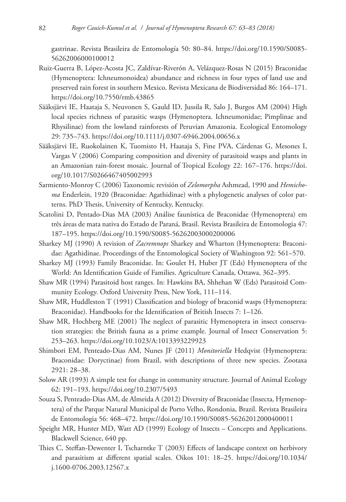gastrinae. Revista Brasileira de Entomología 50: 80–84. [https://doi.org/10.1590/S0085-](https://doi.org/10.1590/S0085-56262006000100012) [56262006000100012](https://doi.org/10.1590/S0085-56262006000100012)

- Ruiz-Guerra B, López-Acosta JC, Zaldívar-Riverón A, Velázquez-Rosas N (2015) Braconidae (Hymenoptera: Ichneumonoidea) abundance and richness in four types of land use and preserved rain forest in southern Mexico. Revista Mexicana de Biodiversidad 86: 164–171. <https://doi.org/10.7550/rmb.43865>
- Sääksjärvi IE, Haataja S, Neuvonen S, Gauld ID, Jussila R, Salo J, Burgos AM (2004) High local species richness of parasitic wasps (Hymenoptera. Ichneumonidae; Pimplinae and Rhysilinae) from the lowland rainforests of Peruvian Amazonia. Ecological Entomology 29: 735–743.<https://doi.org/10.1111/j.0307-6946.2004.00656.x>
- Sääksjärvi IE, Ruokolainen K, Tuomisto H, Haataja S, Fine PVA, Cárdenas G, Mesones I, Vargas V (2006) Comparing composition and diversity of parasitoid wasps and plants in an Amazonian rain-forest mosaic. Journal of Tropical Ecology 22: 167–176. [https://doi.](https://doi.org/10.1017/S0266467405002993) [org/10.1017/S0266467405002993](https://doi.org/10.1017/S0266467405002993)
- Sarmiento-Monroy C (2006) Taxonomic revisión of *Zelomorpha* Ashmead, 1990 and *Hemichoma* Enderlein, 1920 (Braconidae: Agathidinae) with a phylogenetic analyses of color patterns. PhD Thesis, University of Kentucky, Kentucky.
- Scatolini D, Pentado-Dias MA (2003) Análise faunística de Braconidae (Hymenoptera) em três áreas de mata nativa do Estado de Paraná, Brasil. Revista Brasileira de Entomologia 47: 187–195.<https://doi.org/10.1590/S0085-56262003000200006>
- Sharkey MJ (1990) A revision of *Zacremnops* Sharkey and Wharton (Hymenoptera: Braconidae: Agathidinae. Proceedings of the Entomological Society of Washington 92: 561–570.
- Sharkey MJ (1993) Family Braconidae. In: Goulet H, Huber JT (Eds) Hymenoptera of the World: An Identification Guide of Families. Agriculture Canada, Ottawa, 362–395.
- Shaw MR (1994) Parasitoid host ranges. In: Hawkins BA, Shhehan W (Eds) Parasitoid Community Ecology. Oxford University Press, New York, 111–114.
- Shaw MR, Huddleston T (1991) Classification and biology of braconid wasps (Hymenoptera: Braconidae). Handbooks for the Identification of British Insects 7: 1–126.
- Shaw MR, Hochberg ME (2001) The neglect of parasitic Hymenoptera in insect conservation strategies: the British fauna as a prime example. Journal of Insect Conservation 5: 253–263.<https://doi.org/10.1023/A:1013393229923>
- Shimbori EM, Penteado-Dias AM, Nunes JF (2011) *Monitoriella* Hedqvist (Hymenoptera: Braconidae: Doryctinae) from Brazil, with descriptions of three new species. Zootaxa 2921: 28–38.
- Solow AR (1993) A simple test for change in community structure. Journal of Animal Ecology 62: 191–193.<https://doi.org/10.2307/5493>
- Souza S, Penteado-Dias AM, de Almeida A (2012) Diversity of Braconidae (Insecta, Hymenoptera) of the Parque Natural Municipal de Porto Velho, Rondonia, Brazil. Revista Brasileira de Entomologia 56: 468–472. <https://doi.org/10.1590/S0085-56262012000400011>
- Speight MR, Hunter MD, Watt AD (1999) Ecology of Insects Concepts and Applications. Blackwell Science, 640 pp.
- Thies C, Steffan-Dewenter I, Tscharntke T (2003) Effects of landscape context on herbivory and parasitism at different spatial scales. Oikos 101: 18–25. [https://doi.org/10.1034/](https://doi.org/10.1034/j.1600-0706.2003.12567.x) [j.1600-0706.2003.12567.x](https://doi.org/10.1034/j.1600-0706.2003.12567.x)